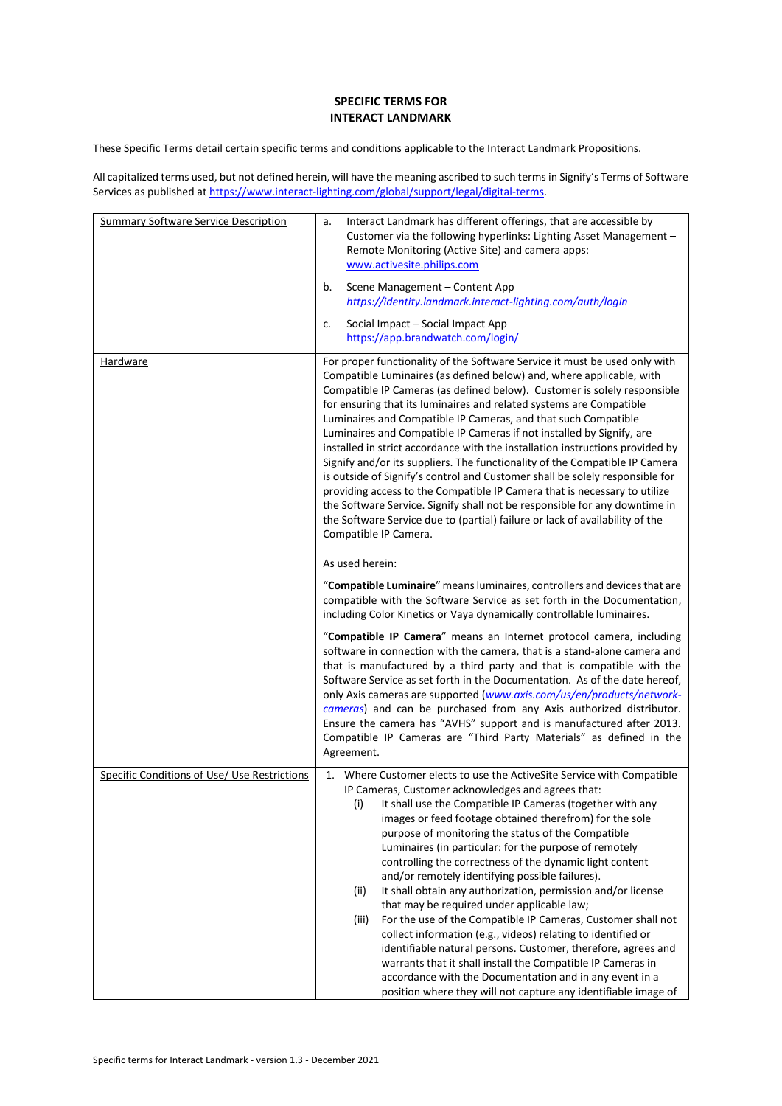## **SPECIFIC TERMS FOR INTERACT LANDMARK**

These Specific Terms detail certain specific terms and conditions applicable to the Interact Landmark Propositions.

All capitalized terms used, but not defined herein, will have the meaning ascribed to such terms in Signify's Terms of Software Services as published a[t https://www.interact-lighting.com/global/support/legal/digital-terms.](https://www.interact-lighting.com/global/support/legal/digital-terms)

| <b>Summary Software Service Description</b>  | Interact Landmark has different offerings, that are accessible by<br>a.<br>Customer via the following hyperlinks: Lighting Asset Management -<br>Remote Monitoring (Active Site) and camera apps:<br>www.activesite.philips.com<br>b.<br>Scene Management - Content App<br>https://identity.landmark.interact-lighting.com/auth/login<br>Social Impact - Social Impact App<br>c.<br>https://app.brandwatch.com/login/                                                                                                                                                                                                                                                                                                                                                                                                                                                                                                                                                                                                                                                                                                                                                                                                                                                                                                                                                                                                                                                                                                                                                                                                                                                                                                                                                                                                             |  |
|----------------------------------------------|-----------------------------------------------------------------------------------------------------------------------------------------------------------------------------------------------------------------------------------------------------------------------------------------------------------------------------------------------------------------------------------------------------------------------------------------------------------------------------------------------------------------------------------------------------------------------------------------------------------------------------------------------------------------------------------------------------------------------------------------------------------------------------------------------------------------------------------------------------------------------------------------------------------------------------------------------------------------------------------------------------------------------------------------------------------------------------------------------------------------------------------------------------------------------------------------------------------------------------------------------------------------------------------------------------------------------------------------------------------------------------------------------------------------------------------------------------------------------------------------------------------------------------------------------------------------------------------------------------------------------------------------------------------------------------------------------------------------------------------------------------------------------------------------------------------------------------------|--|
| <b>Hardware</b>                              | For proper functionality of the Software Service it must be used only with<br>Compatible Luminaires (as defined below) and, where applicable, with<br>Compatible IP Cameras (as defined below). Customer is solely responsible<br>for ensuring that its luminaires and related systems are Compatible<br>Luminaires and Compatible IP Cameras, and that such Compatible<br>Luminaires and Compatible IP Cameras if not installed by Signify, are<br>installed in strict accordance with the installation instructions provided by<br>Signify and/or its suppliers. The functionality of the Compatible IP Camera<br>is outside of Signify's control and Customer shall be solely responsible for<br>providing access to the Compatible IP Camera that is necessary to utilize<br>the Software Service. Signify shall not be responsible for any downtime in<br>the Software Service due to (partial) failure or lack of availability of the<br>Compatible IP Camera.<br>As used herein:<br>"Compatible Luminaire" means luminaires, controllers and devices that are<br>compatible with the Software Service as set forth in the Documentation,<br>including Color Kinetics or Vaya dynamically controllable luminaires.<br>"Compatible IP Camera" means an Internet protocol camera, including<br>software in connection with the camera, that is a stand-alone camera and<br>that is manufactured by a third party and that is compatible with the<br>Software Service as set forth in the Documentation. As of the date hereof,<br>only Axis cameras are supported (www.axis.com/us/en/products/network-<br>cameras) and can be purchased from any Axis authorized distributor.<br>Ensure the camera has "AVHS" support and is manufactured after 2013.<br>Compatible IP Cameras are "Third Party Materials" as defined in the |  |
|                                              | Agreement.                                                                                                                                                                                                                                                                                                                                                                                                                                                                                                                                                                                                                                                                                                                                                                                                                                                                                                                                                                                                                                                                                                                                                                                                                                                                                                                                                                                                                                                                                                                                                                                                                                                                                                                                                                                                                        |  |
| Specific Conditions of Use/ Use Restrictions | 1. Where Customer elects to use the ActiveSite Service with Compatible<br>IP Cameras, Customer acknowledges and agrees that:<br>(i)<br>It shall use the Compatible IP Cameras (together with any<br>images or feed footage obtained therefrom) for the sole<br>purpose of monitoring the status of the Compatible<br>Luminaires (in particular: for the purpose of remotely<br>controlling the correctness of the dynamic light content<br>and/or remotely identifying possible failures).<br>It shall obtain any authorization, permission and/or license<br>(ii)<br>that may be required under applicable law;<br>For the use of the Compatible IP Cameras, Customer shall not<br>(iii)<br>collect information (e.g., videos) relating to identified or<br>identifiable natural persons. Customer, therefore, agrees and<br>warrants that it shall install the Compatible IP Cameras in<br>accordance with the Documentation and in any event in a<br>position where they will not capture any identifiable image of                                                                                                                                                                                                                                                                                                                                                                                                                                                                                                                                                                                                                                                                                                                                                                                                            |  |